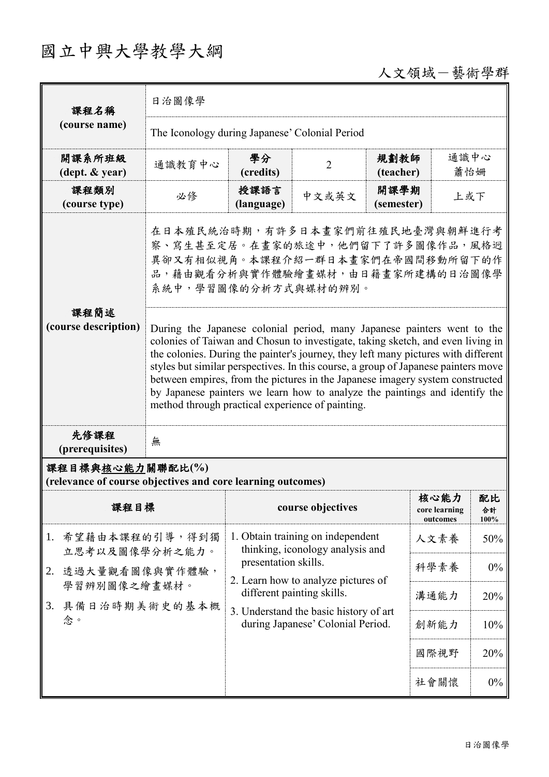## 國立中興大學教學大綱

## 人文領域-藝術學群

| 課程名稱                                                                            | 日治圖像學                                                                                                                                                                                                                                                                                                                                                                                                                                                                                                                                                                                                                                                                                                                             |                                                                             |                                                                       |                    |                                   |                  |  |
|---------------------------------------------------------------------------------|-----------------------------------------------------------------------------------------------------------------------------------------------------------------------------------------------------------------------------------------------------------------------------------------------------------------------------------------------------------------------------------------------------------------------------------------------------------------------------------------------------------------------------------------------------------------------------------------------------------------------------------------------------------------------------------------------------------------------------------|-----------------------------------------------------------------------------|-----------------------------------------------------------------------|--------------------|-----------------------------------|------------------|--|
| (course name)                                                                   | The Iconology during Japanese' Colonial Period                                                                                                                                                                                                                                                                                                                                                                                                                                                                                                                                                                                                                                                                                    |                                                                             |                                                                       |                    |                                   |                  |  |
| 開課系所班級<br>$(\text{dept.} \& \text{ year})$                                      | 通識教育中心                                                                                                                                                                                                                                                                                                                                                                                                                                                                                                                                                                                                                                                                                                                            | 學分<br>(credits)                                                             | $\overline{2}$                                                        | 規劃教師<br>(teacher)  | 通識中心<br>蕭怡姍                       |                  |  |
| 課程類別<br>(course type)                                                           | 必修                                                                                                                                                                                                                                                                                                                                                                                                                                                                                                                                                                                                                                                                                                                                | 授課語言<br>(language)                                                          | 中文或英文                                                                 | 開課學期<br>(semester) | 上或下                               |                  |  |
| 課程簡述<br>(course description)                                                    | 在日本殖民統治時期,有許多日本畫家們前往殖民地臺灣與朝鮮進行考<br>察、寫生甚至定居。在畫家的旅途中,他們留下了許多圖像作品,風格迥<br>異卻又有相似視角。本課程介紹一群日本畫家們在帝國間移動所留下的作<br>品,藉由觀看分析與實作體驗繪畫媒材,由日籍畫家所建構的日治圖像學<br>系統中,學習圖像的分析方式與媒材的辨別。<br>During the Japanese colonial period, many Japanese painters went to the<br>colonies of Taiwan and Chosun to investigate, taking sketch, and even living in<br>the colonies. During the painter's journey, they left many pictures with different<br>styles but similar perspectives. In this course, a group of Japanese painters move<br>between empires, from the pictures in the Japanese imagery system constructed<br>by Japanese painters we learn how to analyze the paintings and identify the<br>method through practical experience of painting. |                                                                             |                                                                       |                    |                                   |                  |  |
| 先修課程<br>(prerequisites)                                                         | 無                                                                                                                                                                                                                                                                                                                                                                                                                                                                                                                                                                                                                                                                                                                                 |                                                                             |                                                                       |                    |                                   |                  |  |
| 課程目標與核心能力關聯配比(%)<br>(relevance of course objectives and core learning outcomes) |                                                                                                                                                                                                                                                                                                                                                                                                                                                                                                                                                                                                                                                                                                                                   |                                                                             |                                                                       |                    |                                   |                  |  |
| 課程目標                                                                            |                                                                                                                                                                                                                                                                                                                                                                                                                                                                                                                                                                                                                                                                                                                                   |                                                                             | course objectives                                                     |                    | 核心能力<br>core learning<br>outcomes | 配比<br>合計<br>100% |  |
| 1.                                                                              | 希望藉由本課程的引導,得到獨<br>立思考以及圖像學分析之能力。<br>透過大量觀看圖像與實作體驗,<br>學習辨別圖像之繪畫媒材。<br>具備日治時期美術史的基本概                                                                                                                                                                                                                                                                                                                                                                                                                                                                                                                                                                                                                                               |                                                                             | 1. Obtain training on independent<br>thinking, iconology analysis and |                    |                                   | 50%              |  |
| 2.                                                                              |                                                                                                                                                                                                                                                                                                                                                                                                                                                                                                                                                                                                                                                                                                                                   |                                                                             | presentation skills.<br>2. Learn how to analyze pictures of           |                    |                                   |                  |  |
| 3.                                                                              |                                                                                                                                                                                                                                                                                                                                                                                                                                                                                                                                                                                                                                                                                                                                   |                                                                             | different painting skills.                                            |                    | 溝通能力                              | 20%              |  |
| 念。                                                                              |                                                                                                                                                                                                                                                                                                                                                                                                                                                                                                                                                                                                                                                                                                                                   | 3. Understand the basic history of art<br>during Japanese' Colonial Period. |                                                                       |                    | 創新能力                              | 10%              |  |
|                                                                                 |                                                                                                                                                                                                                                                                                                                                                                                                                                                                                                                                                                                                                                                                                                                                   |                                                                             |                                                                       |                    | 國際視野                              | 20%              |  |
|                                                                                 |                                                                                                                                                                                                                                                                                                                                                                                                                                                                                                                                                                                                                                                                                                                                   |                                                                             |                                                                       |                    | 社會關懷                              | $0\%$            |  |